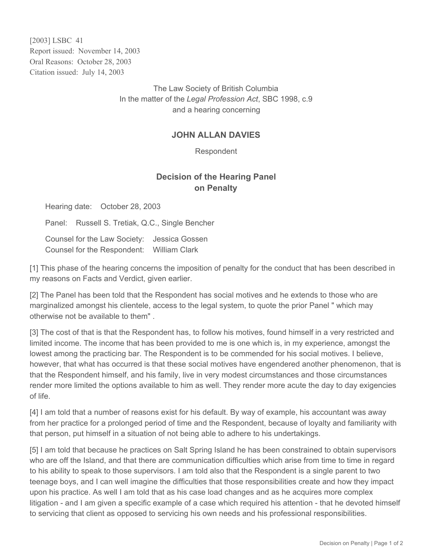[2003] LSBC 41 Report issued: November 14, 2003 Oral Reasons: October 28, 2003 Citation issued: July 14, 2003

> The Law Society of British Columbia In the matter of the *Legal Profession Act*, SBC 1998, c.9 and a hearing concerning

## **JOHN ALLAN DAVIES**

Respondent

## **Decision of the Hearing Panel on Penalty**

Hearing date: October 28, 2003

Panel: Russell S. Tretiak, Q.C., Single Bencher

Counsel for the Law Society: Jessica Gossen Counsel for the Respondent: William Clark

[1] This phase of the hearing concerns the imposition of penalty for the conduct that has been described in my reasons on Facts and Verdict, given earlier.

[2] The Panel has been told that the Respondent has social motives and he extends to those who are marginalized amongst his clientele, access to the legal system, to quote the prior Panel " which may otherwise not be available to them" .

[3] The cost of that is that the Respondent has, to follow his motives, found himself in a very restricted and limited income. The income that has been provided to me is one which is, in my experience, amongst the lowest among the practicing bar. The Respondent is to be commended for his social motives. I believe, however, that what has occurred is that these social motives have engendered another phenomenon, that is that the Respondent himself, and his family, live in very modest circumstances and those circumstances render more limited the options available to him as well. They render more acute the day to day exigencies of life.

[4] I am told that a number of reasons exist for his default. By way of example, his accountant was away from her practice for a prolonged period of time and the Respondent, because of loyalty and familiarity with that person, put himself in a situation of not being able to adhere to his undertakings.

[5] I am told that because he practices on Salt Spring Island he has been constrained to obtain supervisors who are off the Island, and that there are communication difficulties which arise from time to time in regard to his ability to speak to those supervisors. I am told also that the Respondent is a single parent to two teenage boys, and I can well imagine the difficulties that those responsibilities create and how they impact upon his practice. As well I am told that as his case load changes and as he acquires more complex litigation - and I am given a specific example of a case which required his attention - that he devoted himself to servicing that client as opposed to servicing his own needs and his professional responsibilities.